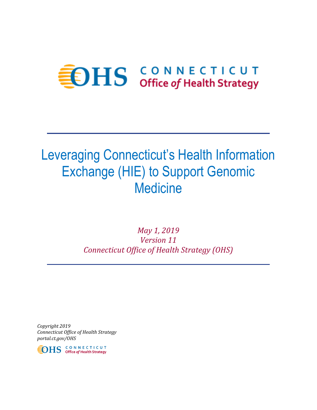# **EDHS** CONNECTICUT

# Leveraging Connecticut's Health Information Exchange (HIE) to Support Genomic **Medicine**

*May 1, 2019 Version 11 Connecticut Office of Health Strategy (OHS)*

*Copyright 2019 Connecticut Office of Health Strategy portal.ct.gov/OHS*

**IDHS** CONNECTICUT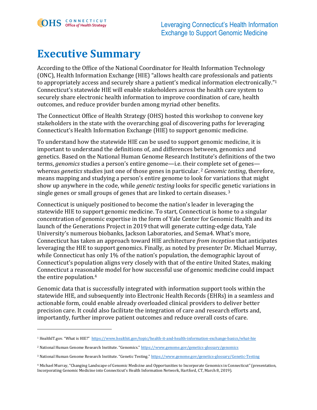

 $\overline{a}$ 

### **Executive Summary**

According to the Office of the National Coordinator for Health Information Technology (ONC), Health Information Exchange (HIE) "allows health care professionals and patients to appropriately access and securely share a patient's medical information electronically." 1 Connecticut's statewide HIE will enable stakeholders across the health care system to securely share electronic health information to improve coordination of care, health outcomes, and reduce provider burden among myriad other benefits.

The Connecticut Office of Health Strategy (OHS) hosted this workshop to convene key stakeholders in the state with the overarching goal of discovering paths for leveraging Connecticut's Health Information Exchange (HIE) to support genomic medicine.

To understand how the statewide HIE can be used to support genomic medicine, it is important to understand the definitions of, and differences between, genomics and genetics. Based on the National Human Genome Research Institute's definitions of the two terms, *genomics* studies a person's entire genome—i.e. their complete set of genes whereas *genetics* studies just one of those genes in particular. <sup>2</sup> *Genomic testing*, therefore, means mapping and studying a person's entire genome to look for variations that might show up anywhere in the code, while *genetic testing* looks for specific genetic variations in single genes or small groups of genes that are linked to certain diseases. <sup>3</sup>

Connecticut is uniquely positioned to become the nation's leader in leveraging the statewide HIE to support genomic medicine. To start, Connecticut is home to a singular concentration of genomic expertise in the form of Yale Center for Genomic Health and its launch of the Generations Project in 2019 that will generate cutting-edge data, Yale University's numerous biobanks, Jackson Laboratories, and Sema4. What's more, Connecticut has taken an approach toward HIE architecture *from inception* that anticipates leveraging the HIE to support genomics. Finally, as noted by presenter Dr. Michael Murray, while Connecticut has only 1% of the nation's population, the demographic layout of Connecticut's population aligns very closely with that of the entire United States, making Connecticut a reasonable model for how successful use of genomic medicine could impact the entire population.<sup>4</sup>

Genomic data that is successfully integrated with information support tools within the statewide HIE, and subsequently into Electronic Health Records (EHRs) in a seamless and actionable form, could enable already overloaded clinical providers to deliver better precision care. It could also facilitate the integration of care and research efforts and, importantly, further improve patient outcomes and reduce overall costs of care.

<sup>1</sup> HealthIT.gov. "What is HIE?" <https://www.healthit.gov/topic/health-it-and-health-information-exchange-basics/what-hie>

<sup>&</sup>lt;sup>2</sup> National Human Genome Research Institute. "Genomics." <https://www.genome.gov/genetics-glossary/genomics>

<sup>3</sup> National Human Genome Research Institute. "Genetic Testing." <https://www.genome.gov/genetics-glossary/Genetic-Testing>

<sup>4</sup> Michael Murray, "Changing Landscape of Genomic Medicine and Opportunities to Incorporate Genomics in Connecticut" (presentation, Incorporating Genomic Medicine into Connecticut's Health Information Network, Hartford, CT, March 8, 2019).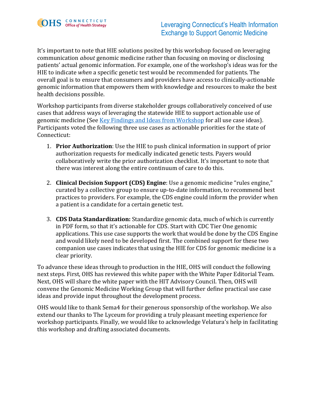

It's important to note that HIE solutions posited by this workshop focused on leveraging communication *about* genomic medicine rather than focusing on moving or disclosing patients' actual genomic information. For example, one of the workshop's ideas was for the HIE to indicate *when* a specific genetic test would be recommended for patients. The overall goal is to ensure that consumers and providers have access to clinically-actionable genomic information that empowers them with knowledge and resources to make the best health decisions possible.

Workshop participants from diverse stakeholder groups collaboratively conceived of use cases that address ways of leveraging the statewide HIE to support actionable use of genomic medicine (Se[e Key Findings and Ideas from Workshop](#page-8-0) for all use case ideas). Participants voted the following three use cases as actionable priorities for the state of Connecticut:

- 1. **Prior Authorization**: Use the HIE to push clinical information in support of prior authorization requests for medically indicated genetic tests. Payers would collaboratively write the prior authorization checklist. It's important to note that there was interest along the entire continuum of care to do this.
- 2. **Clinical Decision Support (CDS) Engine**: Use a genomic medicine "rules engine," curated by a collective group to ensure up-to-date information, to recommend best practices to providers. For example, the CDS engine could inform the provider when a patient is a candidate for a certain genetic test.
- 3. **CDS Data Standardization:** Standardize genomic data, much of which is currently in PDF form, so that it's actionable for CDS. Start with CDC Tier One genomic applications. This use case supports the work that would be done by the CDS Engine and would likely need to be developed first. The combined support for these two companion use cases indicates that using the HIE for CDS for genomic medicine is a clear priority.

To advance these ideas through to production in the HIE, OHS will conduct the following next steps. First, OHS has reviewed this white paper with the White Paper Editorial Team. Next, OHS will share the white paper with the HIT Advisory Council. Then, OHS will convene the Genomic Medicine Working Group that will further define practical use case ideas and provide input throughout the development process.

OHS would like to thank Sema4 for their generous sponsorship of the workshop. We also extend our thanks to The Lyceum for providing a truly pleasant meeting experience for workshop participants. Finally, we would like to acknowledge Velatura's help in facilitating this workshop and drafting associated documents.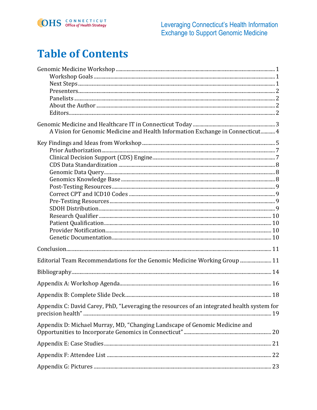

### **Table of Contents**

| A Vision for Genomic Medicine and Health Information Exchange in Connecticut 4             |  |
|--------------------------------------------------------------------------------------------|--|
|                                                                                            |  |
|                                                                                            |  |
|                                                                                            |  |
|                                                                                            |  |
|                                                                                            |  |
|                                                                                            |  |
|                                                                                            |  |
|                                                                                            |  |
|                                                                                            |  |
|                                                                                            |  |
|                                                                                            |  |
|                                                                                            |  |
|                                                                                            |  |
|                                                                                            |  |
|                                                                                            |  |
| Editorial Team Recommendations for the Genomic Medicine Working Group  11                  |  |
|                                                                                            |  |
|                                                                                            |  |
|                                                                                            |  |
| Appendix C: David Carey, PhD, "Leveraging the resources of an integrated health system for |  |
| Appendix D: Michael Murray, MD, "Changing Landscape of Genomic Medicine and                |  |
|                                                                                            |  |
|                                                                                            |  |
|                                                                                            |  |
|                                                                                            |  |
|                                                                                            |  |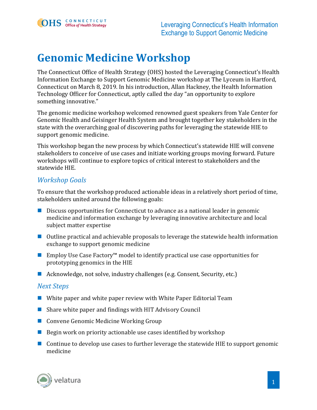### <span id="page-4-0"></span>**Genomic Medicine Workshop**

The Connecticut Office of Health Strategy (OHS) hosted the Leveraging Connecticut's Health Information Exchange to Support Genomic Medicine workshop at The Lyceum in Hartford, Connecticut on March 8, 2019. In his introduction, Allan Hackney, the Health Information Technology Officer for Connecticut, aptly called the day "an opportunity to explore something innovative."

The genomic medicine workshop welcomed renowned guest speakers from Yale Center for Genomic Health and Geisinger Health System and brought together key stakeholders in the state with the overarching goal of discovering paths for leveraging the statewide HIE to support genomic medicine.

This workshop began the new process by which Connecticut's statewide HIE will convene stakeholders to conceive of use cases and initiate working groups moving forward. Future workshops will continue to explore topics of critical interest to stakeholders and the statewide HIE.

#### <span id="page-4-1"></span>*Workshop Goals*

To ensure that the workshop produced actionable ideas in a relatively short period of time, stakeholders united around the following goals:

- Discuss opportunities for Connecticut to advance as a national leader in genomic medicine and information exchange by leveraging innovative architecture and local subject matter expertise
- Outline practical and achievable proposals to leverage the statewide health information exchange to support genomic medicine
- Employ Use Case Factory<sup>™</sup> model to identify practical use case opportunities for prototyping genomics in the HIE
- Acknowledge, not solve, industry challenges (e.g. Consent, Security, etc.)

#### <span id="page-4-2"></span>*Next Steps*

- White paper and white paper review with White Paper Editorial Team
- Share white paper and findings with HIT Advisory Council
- Convene Genomic Medicine Working Group
- Begin work on priority actionable use cases identified by workshop
- Continue to develop use cases to further leverage the statewide HIE to support genomic medicine

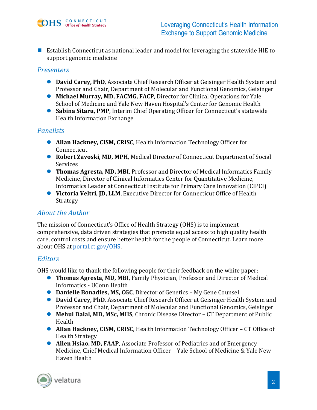■ Establish Connecticut as national leader and model for leveraging the statewide HIE to support genomic medicine

#### <span id="page-5-0"></span>*Presenters*

- **David Carey, PhD**, Associate Chief Research Officer at Geisinger Health System and Professor and Chair, Department of Molecular and Functional Genomics, Geisinger
- **Michael Murray, MD, FACMG, FACP**, Director for Clinical Operations for Yale School of Medicine and Yale New Haven Hospital's Center for Genomic Health
- **Sabina Sitaru, PMP**, Interim Chief Operating Officer for Connecticut's statewide Health Information Exchange

#### <span id="page-5-1"></span>*Panelists*

- ⚫ **Allan Hackney, CISM, CRISC**, Health Information Technology Officer for Connecticut
- **Robert Zavoski, MD, MPH**, Medical Director of Connecticut Department of Social Services
- ⚫ **Thomas Agresta, MD, MBI**, Professor and Director of Medical Informatics Family Medicine, Director of Clinical Informatics Center for Quantitative Medicine, Informatics Leader at Connecticut Institute for Primary Care Innovation (CIPCI)
- Victoria Veltri, JD, LLM, Executive Director for Connecticut Office of Health **Strategy**

#### <span id="page-5-2"></span>*About the Author*

The mission of Connecticut's Office of Health Strategy (OHS) is to implement comprehensive, data driven strategies that promote equal access to high quality health care, control costs and ensure better health for the people of Connecticut. Learn more about OHS at [portal.ct.gov/OHS.](https://portal.ct.gov/OHS)

#### <span id="page-5-3"></span>*Editors*

OHS would like to thank the following people for their feedback on the white paper:

- ⚫ **Thomas Agresta, MD, MBI**, Family Physician, Professor and Director of Medical Informatics - UConn Health
- ⚫ **Danielle Bonadies, MS, CGC**, Director of Genetics My Gene Counsel
- **David Carey, PhD**, Associate Chief Research Officer at Geisinger Health System and Professor and Chair, Department of Molecular and Functional Genomics, Geisinger
- **Mehul Dalal, MD, MSc, MHS**, Chronic Disease Director CT Department of Public Health
- **Allan Hackney, CISM, CRISC**, Health Information Technology Officer CT Office of Health Strategy
- **Allen Hsiao, MD, FAAP**, Associate Professor of Pediatrics and of Emergency Medicine, Chief Medical Information Officer – Yale School of Medicine & Yale New Haven Health

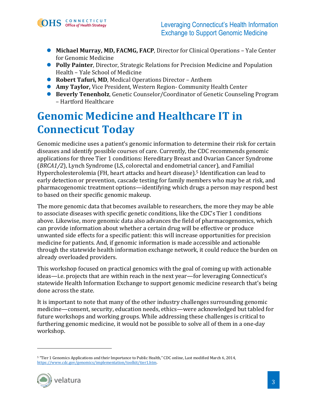

- **Michael Murray, MD, FACMG, FACP**, Director for Clinical Operations Yale Center for Genomic Medicine
- **Polly Painter**, Director, Strategic Relations for Precision Medicine and Population Health – Yale School of Medicine
- **Robert Tafuri, MD**, Medical Operations Director Anthem
- ⚫ **Amy Taylor,** Vice President, Western Region- Community Health Center
- **Beverly Tenenholz**, Genetic Counselor/Coordinator of Genetic Counseling Program – Hartford Healthcare

### <span id="page-6-0"></span>**Genomic Medicine and Healthcare IT in Connecticut Today**

Genomic medicine uses a patient's genomic information to determine their risk for certain diseases and identify possible courses of care. Currently, the CDC recommends genomic applications for three Tier 1 conditions: Hereditary Breast and Ovarian Cancer Syndrome (*BRCA1/2*), Lynch Syndrome (LS, colorectal and endometrial cancer), and Familial Hypercholesterolemia (FH, heart attacks and heart disease).<sup>5</sup> Identification can lead to early detection or prevention, cascade testing for family members who may be at risk, and pharmacogenomic treatment options—identifying which drugs a person may respond best to based on their specific genomic makeup.

The more genomic data that becomes available to researchers, the more they may be able to associate diseases with specific genetic conditions, like the CDC's Tier 1 conditions above. Likewise, more genomic data also advances the field of pharmacogenomics, which can provide information about whether a certain drug will be effective or produce unwanted side effects for a specific patient: this will increase opportunities for precision medicine for patients. And, if genomic information is made accessible and actionable through the statewide health information exchange network, it could reduce the burden on already overloaded providers.

This workshop focused on practical genomics with the goal of coming up with actionable ideas—i.e. projects that are within reach in the next year—for leveraging Connecticut's statewide Health Information Exchange to support genomic medicine research that's being done across the state.

It is important to note that many of the other industry challenges surrounding genomic medicine—consent, security, education needs, ethics—were acknowledged but tabled for future workshops and working groups. While addressing these challenges is critical to furthering genomic medicine, it would not be possible to solve all of them in a one-day workshop.

<sup>5</sup> "Tier 1 Genomics Applications and their Importance to Public Health," CDC online, Last modified March 6, 2014, [https://www.cdc.gov/genomics/implementation/toolkit/tier1.htm.](https://www.cdc.gov/genomics/implementation/toolkit/tier1.htm)



 $\overline{a}$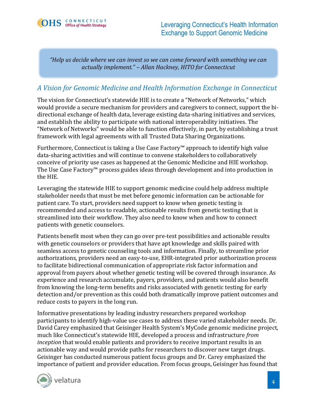*"Help us decide where we can invest so we can come forward with something we can actually implement." – Allan Hackney, HITO for Connecticut*

#### <span id="page-7-0"></span>*A Vision for Genomic Medicine and Health Information Exchange in Connecticut*

The vision for Connecticut's statewide HIE is to create a "Network of Networks," which would provide a secure mechanism for providers and caregivers to connect, support the bidirectional exchange of health data, leverage existing data-sharing initiatives and services, and establish the ability to participate with national interoperability initiatives. The "Network of Networks" would be able to function effectively, in part, by establishing a trust framework with legal agreements with all Trusted Data Sharing Organizations.

Furthermore, Connecticut is taking a Use Case Factory™ approach to identify high value data-sharing activities and will continue to convene stakeholders to collaboratively conceive of priority use cases as happened at the Genomic Medicine and HIE workshop. The Use Case Factory™ process guides ideas through development and into production in the HIE.

Leveraging the statewide HIE to support genomic medicine could help address multiple stakeholder needs that must be met before genomic information can be actionable for patient care. To start, providers need support to know when genetic testing is recommended and access to readable, actionable results from genetic testing that is streamlined into their workflow. They also need to know when and how to connect patients with genetic counselors.

Patients benefit most when they can go over pre-test possibilities and actionable results with genetic counselors or providers that have apt knowledge and skills paired with seamless access to genetic counseling tools and information. Finally, to streamline prior authorizations, providers need an easy-to-use, EHR-integrated prior authorization process to facilitate bidirectional communication of appropriate risk factor information and approval from payers about whether genetic testing will be covered through insurance. As experience and research accumulate, payers, providers, and patients would also benefit from knowing the long-term benefits and risks associated with genetic testing for early detection and/or prevention as this could both dramatically improve patient outcomes and reduce costs to payers in the long run.

Informative presentations by leading industry researchers prepared workshop participants to identify high-value use cases to address these varied stakeholder needs. Dr. David Carey emphasized that Geisinger Health System's MyCode genomic medicine project, much like Connecticut's statewide HIE, developed a process and infrastructure *from inception* that would enable patients and providers to receive important results in an actionable way and would provide paths for researchers to discover new target drugs. Geisinger has conducted numerous patient focus groups and Dr. Carey emphasized the importance of patient and provider education. From focus groups, Geisinger has found that

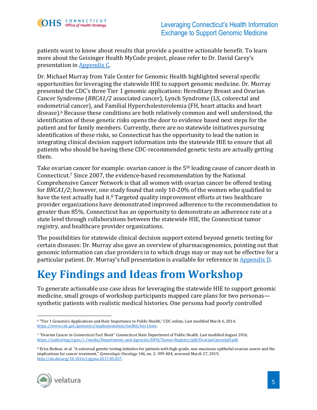patients want to know about results that provide a positive actionable benefit. To learn more about the Geisinger Health MyCode project, please refer to Dr. David Carey's presentation in [Appendix C.](#page-22-0)

Dr. Michael Murray from Yale Center for Genomic Health highlighted several specific opportunities for leveraging the statewide HIE to support genomic medicine. Dr. Murray presented the CDC's three Tier 1 genomic applications: Hereditary Breast and Ovarian Cancer Syndrome (*BRCA1/2* associated cancer), Lynch Syndrome (LS, colorectal and endometrial cancer), and Familial Hypercholesterolemia (FH, heart attacks and heart disease).<sup>6</sup> Because these conditions are both relatively common and well understood, the identification of these genetic risks opens the door to evidence based next steps for the patient and for family members. Currently, there are no statewide initiatives pursuing identification of these risks, so Connecticut has the opportunity to lead the nation in integrating clinical decision support information into the statewide HIE to ensure that all patients who should be having these CDC-recommended genetic tests are actually getting them.

Take ovarian cancer for example: ovarian cancer is the 5<sup>th</sup> leading cause of cancer death in Connecticut.<sup>7</sup> Since 2007, the evidence-based recommendation by the National Comprehensive Cancer Network is that all women with ovarian cancer be offered testing for *BRCA1/2*; however, one study found that only 10-20% of the women who qualified to have the test actually had it. $8$  Targeted quality improvement efforts at two healthcare provider organizations have demonstrated improved adherence to the recommendation to greater than 85%. Connecticut has an opportunity to demonstrate an adherence rate at a state level through collaborations between the statewide HIE, the Connecticut tumor registry, and healthcare provider organizations.

The possibilities for statewide clinical decision support extend beyond genetic testing for certain diseases: Dr. Murray also gave an overview of pharmacogenomics, pointing out that genomic information can clue providers in to which drugs may or may not be effective for a particular patient. Dr. Murray's full presentation is available for reference in [Appendix D.](#page-23-0)

# <span id="page-8-1"></span><span id="page-8-0"></span>**Key Findings and Ideas from Workshop**

To generate actionable use case ideas for leveraging the statewide HIE to support genomic medicine, small groups of workshop participants mapped care plans for two personas synthetic patients with realistic medical histories. One persona had poorly controlled

<sup>8</sup> Erica Bednar, et al. "A universal genetic testing initiative for patients with high-grade, non-mucinous epithelial ovarian cancer and the implications for cancer treatment," *Gynecologic Oncology* 146, no. 2: 399-404, accessed March 27, 2019, [http://dx.doi.org/10.1016/j.ygyno.2017.05.037.](http://dx.doi.org/10.1016/j.ygyno.2017.05.037)



 $\overline{a}$ <sup>6</sup> "Tier 1 Genomics Applications and their Importance to Public Health," CDC online, Last modified March 6, 2014, [https://www.cdc.gov/genomics/implementation/toolkit/tier1.htm.](https://www.cdc.gov/genomics/implementation/toolkit/tier1.htm)

<sup>7</sup> "Ovarian Cancer in Connecticut Fact Sheet" Connecticut State Department of Public Health, Last modified August 2016, [https://authoring.ct.gov//-/media/Departments-and-Agencies/DPH/Tumor-Registry/pdf/OvarianCancerpdf.pdf.](https://authoring.ct.gov/-/media/Departments-and-Agencies/DPH/Tumor-Registry/pdf/OvarianCancerpdf.pdf)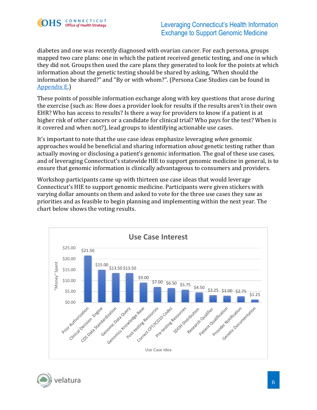

diabetes and one was recently diagnosed with ovarian cancer. For each persona, groups mapped two care plans: one in which the patient received genetic testing, and one in which they did not. Groups then used the care plans they generated to look for the points at which information about the genetic testing should be shared by asking, "When should the information be shared?" and "By or with whom?". (Persona Case Studies can be found in [Appendix E.](#page-24-0))

These points of possible information exchange along with key questions that arose during the exercise (such as: How does a provider look for results if the results aren't in their own EHR? Who has access to results? Is there a way for providers to know if a patient is at higher risk of other cancers or a candidate for clinical trial? Who pays for the test? When is it covered and when not?), lead groups to identifying actionable use cases.

It's important to note that the use case ideas emphasize leveraging *when* genomic approaches would be beneficial and sharing information *about* genetic testing rather than actually moving or disclosing a patient's genomic information. The goal of these use cases, and of leveraging Connecticut's statewide HIE to support genomic medicine in general, is to ensure that genomic information is clinically advantageous to consumers and providers.

Workshop participants came up with thirteen use case ideas that would leverage Connecticut's HIE to support genomic medicine. Participants were given stickers with varying dollar amounts on them and asked to vote for the three use cases they saw as priorities and as feasible to begin planning and implementing within the next year. The chart below shows the voting results.



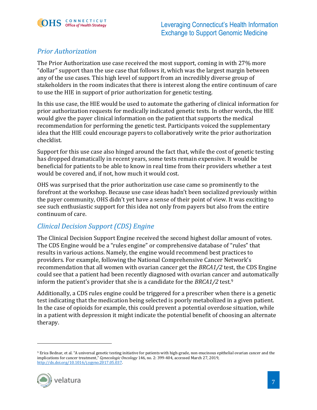

### <span id="page-10-0"></span>*Prior Authorization*

The Prior Authorization use case received the most support, coming in with 27% more "dollar" support than the use case that follows it, which was the largest margin between any of the use cases. This high level of support from an incredibly diverse group of stakeholders in the room indicates that there is interest along the entire continuum of care to use the HIE in support of prior authorization for genetic testing.

In this use case, the HIE would be used to automate the gathering of clinical information for prior authorization requests for medically indicated genetic tests. In other words, the HIE would give the payer clinical information on the patient that supports the medical recommendation for performing the genetic test. Participants voiced the supplementary idea that the HIE could encourage payers to collaboratively write the prior authorization checklist.

Support for this use case also hinged around the fact that, while the cost of genetic testing has dropped dramatically in recent years, some tests remain expensive. It would be beneficial for patients to be able to know in real time from their providers whether a test would be covered and, if not, how much it would cost.

OHS was surprised that the prior authorization use case came so prominently to the forefront at the workshop. Because use case ideas hadn't been socialized previously within the payer community, OHS didn't yet have a sense of their point of view. It was exciting to see such enthusiastic support for this idea not only from payers but also from the entire continuum of care.

### <span id="page-10-1"></span>*Clinical Decision Support (CDS) Engine*

The Clinical Decision Support Engine received the second highest dollar amount of votes. The CDS Engine would be a "rules engine" or comprehensive database of "rules" that results in various actions. Namely, the engine would recommend best practices to providers. For example, following the National Comprehensive Cancer Network's recommendation that all women with ovarian cancer get the *BRCA1/2* test, the CDS Engine could see that a patient had been recently diagnosed with ovarian cancer and automatically inform the patient's provider that she is a candidate for the *BRCA1/2* test.<sup>9</sup>

Additionally, a CDS rules engine could be triggered for a prescriber when there is a genetic test indicating that the medication being selected is poorly metabolized in a given patient. In the case of opioids for example, this could prevent a potential overdose situation, while in a patient with depression it might indicate the potential benefit of choosing an alternate therapy.

<sup>9</sup> Erica Bednar, et al. "A universal genetic testing initiative for patients with high-grade, non-mucinous epithelial ovarian cancer and the implications for cancer treatment," *Gynecologic Oncology* 146, no. 2: 399-404, accessed March 27, 2019, [http://dx.doi.org/10.1016/j.ygyno.2017.05.037.](http://dx.doi.org/10.1016/j.ygyno.2017.05.037)



 $\overline{a}$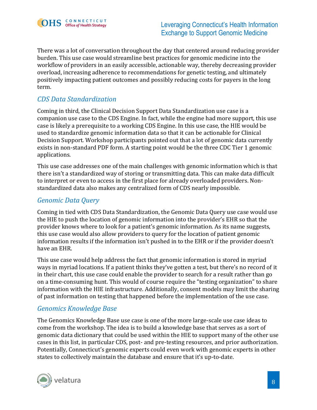

There was a lot of conversation throughout the day that centered around reducing provider burden. This use case would streamline best practices for genomic medicine into the workflow of providers in an easily accessible, actionable way, thereby decreasing provider overload, increasing adherence to recommendations for genetic testing, and ultimately positively impacting patient outcomes and possibly reducing costs for payers in the long term.

#### <span id="page-11-0"></span>*CDS Data Standardization*

Coming in third, the Clinical Decision Support Data Standardization use case is a companion use case to the CDS Engine. In fact, while the engine had more support, this use case is likely a prerequisite to a working CDS Engine. In this use case, the HIE would be used to standardize genomic information data so that it can be actionable for Clinical Decision Support. Workshop participants pointed out that a lot of genomic data currently exists in non-standard PDF form. A starting point would be the three CDC Tier 1 genomic applications.

This use case addresses one of the main challenges with genomic information which is that there isn't a standardized way of storing or transmitting data. This can make data difficult to interpret or even to access in the first place for already overloaded providers. Nonstandardized data also makes any centralized form of CDS nearly impossible.

#### <span id="page-11-1"></span>*Genomic Data Query*

Coming in tied with CDS Data Standardization, the Genomic Data Query use case would use the HIE to push the location of genomic information into the provider's EHR so that the provider knows where to look for a patient's genomic information. As its name suggests, this use case would also allow providers to query for the location of patient genomic information results if the information isn't pushed in to the EHR or if the provider doesn't have an EHR.

This use case would help address the fact that genomic information is stored in myriad ways in myriad locations. If a patient thinks they've gotten a test, but there's no record of it in their chart, this use case could enable the provider to search for a result rather than go on a time-consuming hunt. This would of course require the "testing organization" to share information with the HIE infrastructure. Additionally, consent models may limit the sharing of past information on testing that happened before the implementation of the use case.

#### <span id="page-11-2"></span>*Genomics Knowledge Base*

The Genomics Knowledge Base use case is one of the more large-scale use case ideas to come from the workshop. The idea is to build a knowledge base that serves as a sort of genomic data dictionary that could be used within the HIE to support many of the other use cases in this list, in particular CDS, post- and pre-testing resources, and prior authorization. Potentially, Connecticut's genomic experts could even work with genomic experts in other states to collectively maintain the database and ensure that it's up-to-date.

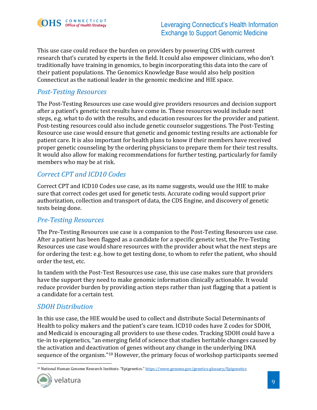

This use case could reduce the burden on providers by powering CDS with current research that's curated by experts in the field. It could also empower clinicians, who don't traditionally have training in genomics, to begin incorporating this data into the care of their patient populations. The Genomics Knowledge Base would also help position Connecticut as the national leader in the genomic medicine and HIE space.

#### <span id="page-12-0"></span>*Post-Testing Resources*

The Post-Testing Resources use case would give providers resources and decision support after a patient's genetic test results have come in. These resources would include next steps, e.g. what to do with the results, and education resources for the provider and patient. Post-testing resources could also include genetic counselor suggestions. The Post-Testing Resource use case would ensure that genetic and genomic testing results are actionable for patient care. It is also important for health plans to know if their members have received proper genetic counseling by the ordering physicians to prepare them for their test results. It would also allow for making recommendations for further testing, particularly for family members who may be at risk.

### <span id="page-12-1"></span>*Correct CPT and ICD10 Codes*

Correct CPT and ICD10 Codes use case, as its name suggests, would use the HIE to make sure that correct codes get used for genetic tests. Accurate coding would support prior authorization, collection and transport of data, the CDS Engine, and discovery of genetic tests being done.

#### <span id="page-12-2"></span>*Pre-Testing Resources*

The Pre-Testing Resources use case is a companion to the Post-Testing Resources use case. After a patient has been flagged as a candidate for a specific genetic test, the Pre-Testing Resources use case would share resources with the provider about what the next steps are for ordering the test: e.g. how to get testing done, to whom to refer the patient, who should order the test, etc.

In tandem with the Post-Test Resources use case, this use case makes sure that providers have the support they need to make genomic information clinically actionable. It would reduce provider burden by providing action steps rather than just flagging that a patient is a candidate for a certain test.

#### <span id="page-12-3"></span>*SDOH Distribution*

In this use case, the HIE would be used to collect and distribute Social Determinants of Health to policy makers and the patient's care team. ICD10 codes have Z codes for SDOH, and Medicaid is encouraging all providers to use these codes. Tracking SDOH could have a tie-in to epigenetics, "an emerging field of science that studies heritable changes caused by the activation and deactivation of genes without any change in the underlying DNA sequence of the organism."<sup>10</sup> However, the primary focus of workshop participants seemed

 $\overline{a}$ <sup>10</sup> National Human Genome Research Institute. "Epigenetics." <https://www.genome.gov/genetics-glossary/Epigenetics>

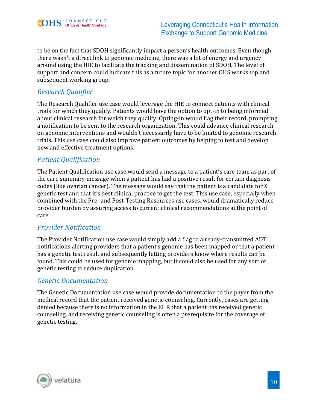

to be on the fact that SDOH significantly impact a person's health outcomes. Even though there wasn't a direct link to genomic medicine, there was a lot of energy and urgency around using the HIE to facilitate the tracking and dissemination of SDOH. The level of support and concern could indicate this as a future topic for another OHS workshop and subsequent working group.

#### <span id="page-13-0"></span>*Research Qualifier*

The Research Qualifier use case would leverage the HIE to connect patients with clinical trials for which they qualify. Patients would have the option to opt-in to being informed about clinical research for which they qualify. Opting-in would flag their record, prompting a notification to be sent to the research organization. This could advance clinical research on genomic interventions and wouldn't necessarily have to be limited to genomic research trials. This use case could also improve patient outcomes by helping to test and develop new and effective treatment options.

#### <span id="page-13-1"></span>*Patient Qualification*

The Patient Qualification use case would send a message to a patient's care team as part of the care summary message when a patient has had a positive result for certain diagnosis codes (like ovarian cancer). The message would say that the patient is a candidate for X genetic test and that it's best clinical practice to get the test. This use case, especially when combined with the Pre- and Post-Testing Resources use cases, would dramatically reduce provider burden by assuring access to current clinical recommendations at the point of care.

#### <span id="page-13-2"></span>*Provider Notification*

The Provider Notification use case would simply add a flag to already-transmitted ADT notifications alerting providers that a patient's genome has been mapped or that a patient has a genetic test result and subsequently letting providers know where results can be found. This could be used for genome mapping, but it could also be used for any sort of genetic testing to reduce duplication.

#### <span id="page-13-3"></span>*Genetic Documentation*

The Genetic Documentation use case would provide documentation to the payer from the medical record that the patient received genetic counseling. Currently, cases are getting denied because there is no information in the EHR that a patient has received genetic counseling, and receiving genetic counseling is often a prerequisite for the coverage of genetic testing.

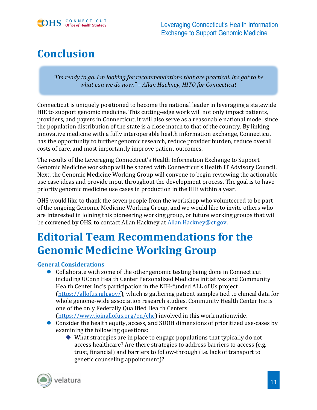

### <span id="page-14-0"></span>**Conclusion**

*"I'm ready to go. I'm looking for recommendations that are practical. It's got to be what can we do now." – Allan Hackney, HITO for Connecticut*

Connecticut is uniquely positioned to become the national leader in leveraging a statewide HIE to support genomic medicine. This cutting-edge work will not only impact patients, providers, and payers in Connecticut, it will also serve as a reasonable national model since the population distribution of the state is a close match to that of the country. By linking innovative medicine with a fully interoperable health information exchange, Connecticut has the opportunity to further genomic research, reduce provider burden, reduce overall costs of care, and most importantly improve patient outcomes.

The results of the Leveraging Connecticut's Health Information Exchange to Support Genomic Medicine workshop will be shared with Connecticut's Health IT Advisory Council. Next, the Genomic Medicine Working Group will convene to begin reviewing the actionable use case ideas and provide input throughout the development process. The goal is to have priority genomic medicine use cases in production in the HIE within a year.

OHS would like to thank the seven people from the workshop who volunteered to be part of the ongoing Genomic Medicine Working Group, and we would like to invite others who are interested in joining this pioneering working group, or future working groups that will be convened by OHS, to contact Allan Hackney at [Allan.Hackney@ct.gov.](mailto:Allan.Hackney@ct.gov)

### <span id="page-14-1"></span>**Editorial Team Recommendations for the Genomic Medicine Working Group**

#### **General Considerations**

⚫ Collaborate with some of the other genomic testing being done in Connecticut including UConn Health Center Personalized Medicine initiatives and Community Health Center Inc's participation in the NIH-funded ALL of Us project [\(https://allofus.nih.gov/\)](https://allofus.nih.gov/), which is gathering patient samples tied to clinical data for whole genome-wide association research studies. Community Health Center Inc is one of the only Federally Qualified Health Centers

[\(https://www.joinallofus.org/en/chc\)](https://www.joinallofus.org/en/chc) involved in this work nationwide.

- Consider the health equity, access, and SDOH dimensions of prioritized use-cases by examining the following questions:
	- ◆ What strategies are in place to engage populations that typically do not access healthcare? Are there strategies to address barriers to access (e.g. trust, financial) and barriers to follow-through (i.e. lack of transport to genetic counseling appointment)?

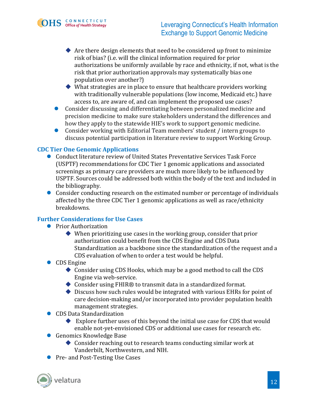

- $\blacklozenge$  Are there design elements that need to be considered up front to minimize risk of bias? (i.e. will the clinical information required for prior authorizations be uniformly available by race and ethnicity, if not, what is the risk that prior authorization approvals may systematically bias one population over another?)
- $\blacklozenge$  What strategies are in place to ensure that healthcare providers working with traditionally vulnerable populations (low income, Medicaid etc.) have access to, are aware of, and can implement the proposed use cases?
- ⚫ Consider discussing and differentiating between personalized medicine and precision medicine to make sure stakeholders understand the differences and how they apply to the statewide HIE's work to support genomic medicine.
- ⚫ Consider working with Editorial Team members' student / intern groups to discuss potential participation in literature review to support Working Group.

#### **CDC Tier One Genomic Applications**

- Conduct literature review of United States Preventative Services Task Force (USPTF) recommendations for CDC Tier 1 genomic applications and associated screenings as primary care providers are much more likely to be influenced by USPTF. Sources could be addressed both within the body of the text and included in the bibliography.
- Consider conducting research on the estimated number or percentage of individuals affected by the three CDC Tier 1 genomic applications as well as race/ethnicity breakdowns.

#### **Further Considerations for Use Cases**

- Prior Authorization
	- $\blacklozenge$  When prioritizing use cases in the working group, consider that prior authorization could benefit from the CDS Engine and CDS Data Standardization as a backbone since the standardization of the request and a CDS evaluation of when to order a test would be helpful.
- CDS Engine
	- ◆ Consider using CDS Hooks, which may be a good method to call the CDS Engine via web-service.
	- ◆ Consider using FHIR® to transmit data in a standardized format.
	- ◆ Discuss how such rules would be integrated with various EHRs for point of care decision-making and/or incorporated into provider population health management strategies.
- CDS Data Standardization
	- Explore further uses of this beyond the initial use case for CDS that would enable not-yet-envisioned CDS or additional use cases for research etc.
- Genomics Knowledge Base
	- ◆ Consider reaching out to research teams conducting similar work at Vanderbilt, Northwestern, and NIH.
- Pre- and Post-Testing Use Cases

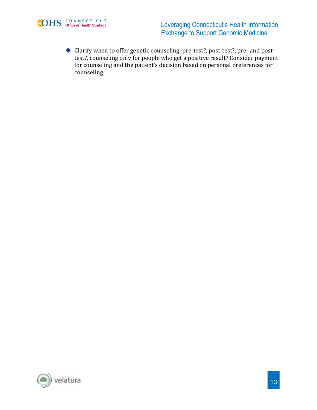

**EDHS** CONNECTICUT Leveraging Connecticut's Health Information Exchange to Support Genomic Medicine

> ◆ Clarify when to offer genetic counseling: pre-test?, post-test?, pre- and posttest?, counseling only for people who get a positive result? Consider payment for counseling and the patient's decision based on personal preferences for counseling.

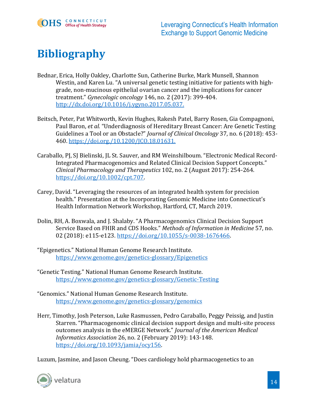

### <span id="page-17-0"></span>**Bibliography**

- Bednar, Erica, Holly Oakley, Charlotte Sun, Catherine Burke, Mark Munsell, Shannon Westin, and Karen Lu. "A universal genetic testing initiative for patients with highgrade, non-mucinous epithelial ovarian cancer and the implications for cancer treatment." *Gynecologic oncology* 146, no. 2 (2017): 399-404. [http://dx.doi.org/10.1016/j.ygyno.2017.05.037.](http://dx.doi.org/10.1016/j.ygyno.2017.05.037)
- Beitsch, Peter, Pat Whitworth, Kevin Hughes, Rakesh Patel, Barry Rosen, Gia Compagnoni, Paul Baron, *et al.* "Underdiagnosis of Hereditary Breast Cancer: Are Genetic Testing Guidelines a Tool or an Obstacle?" *Journal of Clinical Oncology* 37, no. 6 (2018): 453- 460. [https://doi.org./10.1200/JCO.18.01631.](https://doi.org./10.1200/JCO.18.01631)
- Caraballo, PJ, SJ Bielinski, JL St. Sauver, and RM Weinshilboum. "Electronic Medical Record-Integrated Pharmacogenomics and Related Clinical Decision Support Concepts." *Clinical Pharmacology and Therapeutics* 102, no. 2 (August 2017): 254-264. [https://doi.org/10.1002/cpt.707.](https://doi.org/10.1002/cpt.707)
- Carey, David. "Leveraging the resources of an integrated health system for precision health." Presentation at the Incorporating Genomic Medicine into Connecticut's Health Information Network Workshop, Hartford, CT, March 2019.
- Dolin, RH, A. Boxwala, and J. Shalaby. "A Pharmacogenomics Clinical Decision Support Service Based on FHIR and CDS Hooks." *Methods of Information in Medicine* 57, no. 02 (2018): e115-e123. [https://doi.org/10.1055/s-0038-1676466.](https://doi.org/10.1055/s-0038-1676466)
- "Epigenetics." National Human Genome Research Institute. <https://www.genome.gov/genetics-glossary/Epigenetics>
- "Genetic Testing." National Human Genome Research Institute. <https://www.genome.gov/genetics-glossary/Genetic-Testing>
- "Genomics." National Human Genome Research Institute. <https://www.genome.gov/genetics-glossary/genomics>
- Herr, Timothy, Josh Peterson, Luke Rasmussen, Pedro Caraballo, Peggy Peissig, and Justin Starren. "Pharmacogenomic clinical decision support design and multi-site process outcomes analysis in the eMERGE Network." *Journal of the American Medical Informatics Association* 26, no. 2 (February 2019): 143-148. [https://doi.org/10.1093/jamia/ocy156.](https://doi.org/10.1093/jamia/ocy156)

Luzum, Jasmine, and Jason Cheung. "Does cardiology hold pharmacogenetics to an

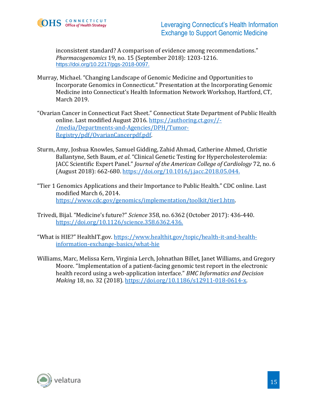

inconsistent standard? A comparison of evidence among recommendations." *Pharmacogenomics* 19, no. 15 (September 2018): 1203-1216. [https://doi.org/10.2217/pgs-2018-0097.](https://doi.org/10.2217/pgs-2018-0097)

- Murray, Michael. "Changing Landscape of Genomic Medicine and Opportunities to Incorporate Genomics in Connecticut." Presentation at the Incorporating Genomic Medicine into Connecticut's Health Information Network Workshop, Hartford, CT, March 2019.
- "Ovarian Cancer in Connecticut Fact Sheet." Connecticut State Department of Public Health online. Last modified August 2016. [https://authoring.ct.gov//-](https://authoring.ct.gov/-/media/Departments-and-Agencies/DPH/Tumor-Registry/pdf/OvarianCancerpdf.pdf) [/media/Departments-and-Agencies/DPH/Tumor-](https://authoring.ct.gov/-/media/Departments-and-Agencies/DPH/Tumor-Registry/pdf/OvarianCancerpdf.pdf)[Registry/pdf/OvarianCancerpdf.pdf.](https://authoring.ct.gov/-/media/Departments-and-Agencies/DPH/Tumor-Registry/pdf/OvarianCancerpdf.pdf)
- Sturm, Amy, Joshua Knowles, Samuel Gidding, Zahid Ahmad, Catherine Ahmed, Christie Ballantyne, Seth Baum, *et al*. "Clinical Genetic Testing for Hypercholesterolemia: JACC Scientific Expert Panel." *Journal of the American College of Cardiology* 72, no. 6 (August 2018): 662-680. [https://doi.org/10.1016/j.jacc.2018.05.044.](https://doi.org/10.1016/j.jacc.2018.05.044)
- "Tier 1 Genomics Applications and their Importance to Public Health." CDC online. Last modified March 6, 2014. [https://www.cdc.gov/genomics/implementation/toolkit/tier1.htm.](https://www.cdc.gov/genomics/implementation/toolkit/tier1.htm)
- Trivedi, Bijal. "Medicine's future?" *Science* 358, no. 6362 (October 2017): 436-440. [https://doi.org/10.1126/science.358.6362.436.](https://doi.org/10.1126/science.358.6362.436)
- "What is HIE?" HealthIT.gov. [https://www.healthit.gov/topic/health-it-and-health](https://www.healthit.gov/topic/health-it-and-health-%20%20%20information-exchange-basics/what-hie)[information-exchange-basics/what-hie](https://www.healthit.gov/topic/health-it-and-health-%20%20%20information-exchange-basics/what-hie)
- Williams, Marc, Melissa Kern, Virginia Lerch, Johnathan Billet, Janet Williams, and Gregory Moore. "Implementation of a patient-facing genomic test report in the electronic health record using a web-application interface." *BMC Informatics and Decision Making* 18, no. 32 (2018). [https://doi.org/10.1186/s12911-018-0614-x.](https://doi.org/10.1186/s12911-018-0614-x)

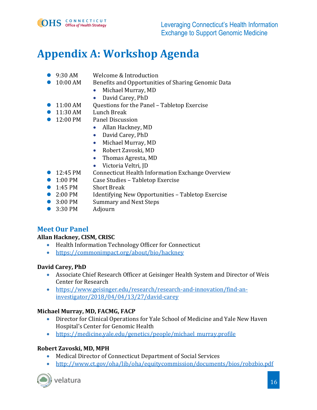

### <span id="page-19-0"></span>**Appendix A: Workshop Agenda**

- 9:30 AM Welcome & Introduction
- 10:00 AM Benefits and Opportunities of Sharing Genomic Data
	- Michael Murray, MD
	- David Carey, PhD
- 11:00 AM Questions for the Panel Tabletop Exercise
- 11:30 AM Lunch Break
- 12:00 PM Panel Discussion
	- Allan Hackney, MD
	- David Carey, PhD
	- Michael Murray, MD
	- Robert Zavoski, MD
	- Thomas Agresta, MD
	- Victoria Veltri, JD
- 12:45 PM Connecticut Health Information Exchange Overview
- 1:00 PM Case Studies Tabletop Exercise
- 1:45 PM Short Break
- 2:00 PM Identifying New Opportunities Tabletop Exercise
- 3:00 PM Summary and Next Steps
- 3:30 PM Adiourn

#### **Meet Our Panel**

#### **Allan Hackney, CISM, CRISC**

- Health Information Technology Officer for Connecticut
- <https://commonimpact.org/about/bio/hackney>

#### **David Carey, PhD**

- Associate Chief Research Officer at Geisinger Health System and Director of Weis Center for Research
- [https://www.geisinger.edu/research/research-and-innovation/find-an](https://www.geisinger.edu/research/research-and-innovation/find-an-investigator/2018/04/04/13/27/david-carey)[investigator/2018/04/04/13/27/david-carey](https://www.geisinger.edu/research/research-and-innovation/find-an-investigator/2018/04/04/13/27/david-carey)

#### **Michael Murray, MD, FACMG, FACP**

- Director for Clinical Operations for Yale School of Medicine and Yale New Haven Hospital's Center for Genomic Health
- [https://medicine.yale.edu/genetics/people/michael\\_murray.profile](https://medicine.yale.edu/genetics/people/michael_murray.profile)

#### **Robert Zavoski, MD, MPH**

- Medical Director of Connecticut Department of Social Services
- <http://www.ct.gov/oha/lib/oha/equitycommission/documents/bios/robzbio.pdf>



velatura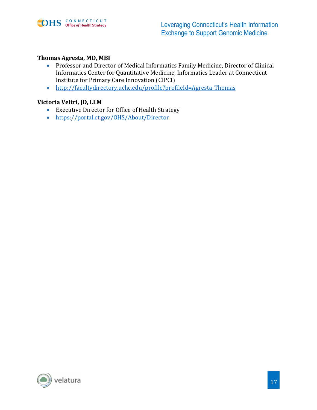

#### **Thomas Agresta, MD, MBI**

- Professor and Director of Medical Informatics Family Medicine, Director of Clinical Informatics Center for Quantitative Medicine, Informatics Leader at Connecticut Institute for Primary Care Innovation (CIPCI)
- <http://facultydirectory.uchc.edu/profile?profileId=Agresta-Thomas>

#### **Victoria Veltri, JD, LLM**

- Executive Director for Office of Health Strategy
- <https://portal.ct.gov/OHS/About/Director>

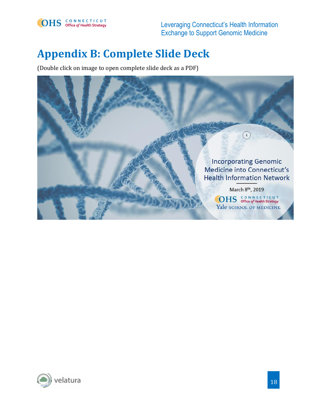

### <span id="page-21-0"></span>**Appendix B: Complete Slide Deck**

(Double click on image to open complete slide deck as a PDF)



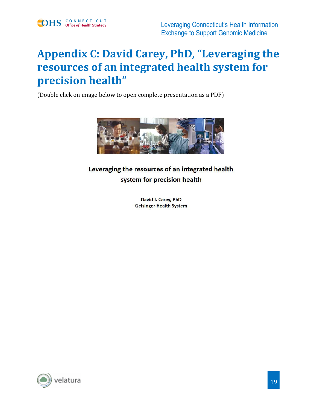### <span id="page-22-0"></span>**Appendix C: David Carey, PhD, "Leveraging the resources of an integrated health system for precision health"**

(Double click on image below to open complete presentation as a PDF)



### Leveraging the resources of an integrated health system for precision health

David J. Carey, PhD **Geisinger Health System** 

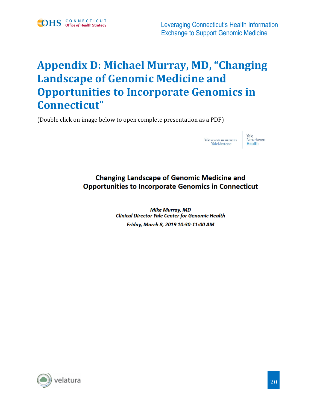

### <span id="page-23-0"></span>**Appendix D: Michael Murray, MD, "Changing Landscape of Genomic Medicine and Opportunities to Incorporate Genomics in Connecticut"**

(Double click on image below to open complete presentation as a PDF)



### **Changing Landscape of Genomic Medicine and Opportunities to Incorporate Genomics in Connecticut**

**Mike Murray, MD Clinical Director Yale Center for Genomic Health** Friday, March 8, 2019 10:30-11:00 AM

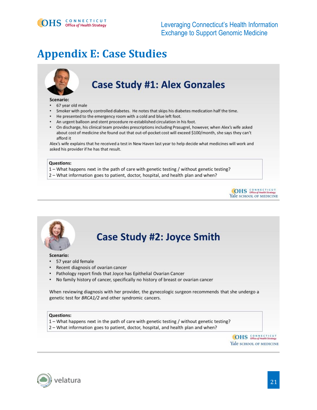

### <span id="page-24-0"></span>**Appendix E: Case Studies**

### **Case Study #1: Alex Gonzales**

#### Scenario:

- 67 year old male
- Smoker with poorly controlled diabetes. He notes that skips his diabetes medication half the time.
- He presented to the emergency room with a cold and blue left foot.
- An urgent balloon and stent procedure re-established circulation in his foot.
- On discharge, his clinical team provides prescriptions including Prasugrel, however, when Alex's wife asked about cost of medicine she found out that out-of-pocket cost will exceed \$100/month, she says they can't afford it

Alex's wife explains that he received a test in New Haven last year to help decide what medicines will work and asked his provider if he has that result.

#### **Questions:**

- 1 What happens next in the path of care with genetic testing / without genetic testing?
- 2 What information goes to patient, doctor, hospital, and health plan and when?





### **Case Study #2: Joyce Smith**

Scenario:

- 57 year old female
- Recent diagnosis of ovarian cancer
- Pathology report finds that Joyce has Epithelial Ovarian Cancer
- No family history of cancer, specifically no history of breast or ovarian cancer  $\bullet$

When reviewing diagnosis with her provider, the gynecologic surgeon recommends that she undergo a genetic test for BRCA1/2 and other syndromic cancers.

#### **Questions:**

- 1 What happens next in the path of care with genetic testing / without genetic testing?
- 2 What information goes to patient, doctor, hospital, and health plan and when?

**OHS** SONNECTICUT Yale SCHOOL OF MEDICINE

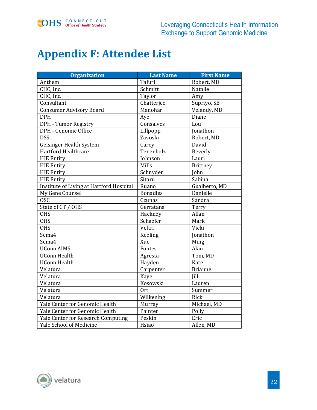

### <span id="page-25-0"></span>**Appendix F: Attendee List**

| <b>Organization</b>                      | <b>Last Name</b> | <b>First Name</b> |
|------------------------------------------|------------------|-------------------|
| Anthem                                   | Tafuri           | Robert, MD        |
| CHC, Inc.                                | Schmitt          | Natalie           |
| CHC, Inc.                                | Taylor           | Amy               |
| Consultant                               | Chatterjee       | Supriyo, SB       |
| <b>Consumer Advisory Board</b>           | Manohar          | Velandy, MD       |
| <b>DPH</b>                               | Aye              | Diane             |
| DPH - Tumor Registry                     | Gonsalves        | Lou               |
| DPH - Genomic Office                     | Lillpopp         | Jonathon          |
| <b>DSS</b>                               | Zavoski          | Robert, MD        |
| Geisinger Health System                  | Carey            | David             |
| <b>Hartford Healthcare</b>               | Tenenholz        | Beverly           |
| <b>HIE Entity</b>                        | <b>Tohnson</b>   | Lauri             |
| <b>HIE Entity</b>                        | Mills            | <b>Brittney</b>   |
| <b>HIE Entity</b>                        | Schnyder         | John              |
| <b>HIE Entity</b>                        | Sitaru           | Sabina            |
| Institute of Living at Hartford Hospital | Ruano            | Gualberto, MD     |
| My Gene Counsel                          | <b>Bonadies</b>  | Danielle          |
| <b>OSC</b>                               | Czunas           | Sandra            |
| State of CT / OHS                        | Gerratana        | Terry             |
| <b>OHS</b>                               | Hackney          | Allan             |
| <b>OHS</b>                               | Schaefer         | Mark              |
| <b>OHS</b>                               | Veltri           | Vicki             |
| Sema4                                    | Keeling          | <b>Jonathon</b>   |
| Sema4                                    | Xue              | Ming              |
| <b>UConn AIMS</b>                        | Fontes           | Alan              |
| <b>UConn Health</b>                      | Agresta          | Tom, MD           |
| <b>UConn Health</b>                      | Hayden           | Kate              |
| Velatura                                 | Carpenter        | <b>Brianne</b>    |
| Velatura                                 | Kaye             | Jill              |
| Velatura                                 | Kosowski         | Lauren            |
| Velatura                                 | <b>Ort</b>       | Summer            |
| Velatura                                 | Wilkening        | Rick              |
| Yale Center for Genomic Health           | Murray           | Michael, MD       |
| Yale Center for Genomic Health           | Painter          | Polly             |
| Yale Center for Research Computing       | Peskin           | Eric              |
| <b>Yale School of Medicine</b>           | Hsiao            | Allen, MD         |